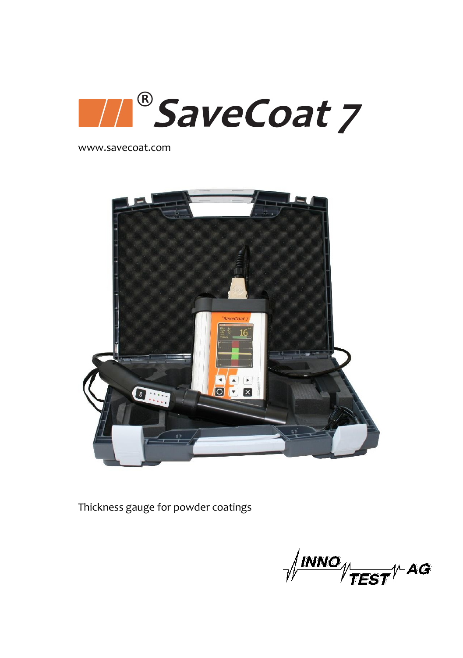

www.savecoat.com



Thickness gauge for powder coatings

 $\sqrt{\frac{\text{INNO}}{\text{TEST}}}}$ AG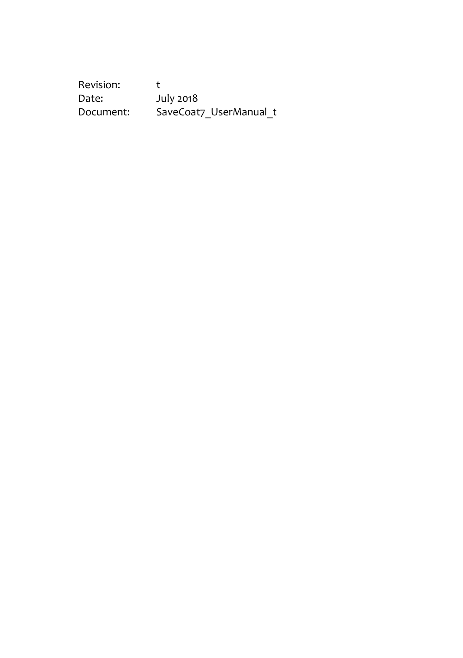Revision: t<br>Date: July 2018 Date: July 2018 Document: SaveCoat7\_UserManual\_t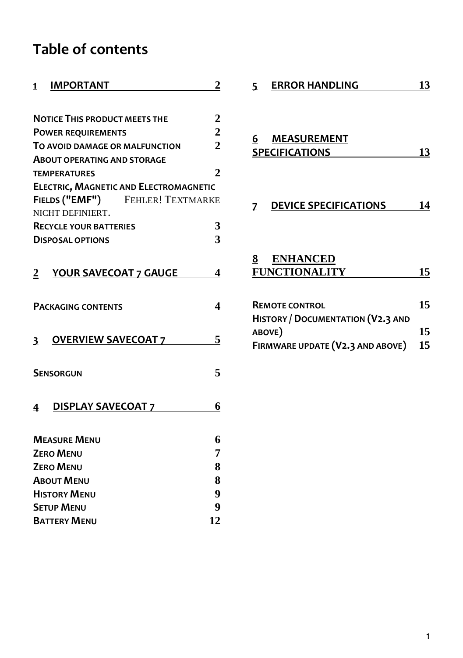# **Table of contents**

| <b>IMPORTANT</b><br>1                                 | 2                |  |
|-------------------------------------------------------|------------------|--|
|                                                       |                  |  |
| <b>NOTICE THIS PRODUCT MEETS THE</b>                  | $\boldsymbol{2}$ |  |
| <b>POWER REQUIREMENTS</b>                             | $\overline{c}$   |  |
| TO AVOID DAMAGE OR MALFUNCTION                        | $\overline{2}$   |  |
| <b>ABOUT OPERATING AND STORAGE</b>                    |                  |  |
| <b>TEMPERATURES</b>                                   | $\overline{2}$   |  |
| <b>ELECTRIC, MAGNETIC AND ELECTROMAGNETIC</b>         |                  |  |
| FIELDS ("EMF") FEHLER! TEXTMARKE                      |                  |  |
| NICHT DEFINIERT.                                      |                  |  |
| <b>RECYCLE YOUR BATTERIES</b>                         | 3                |  |
| <b>DISPOSAL OPTIONS</b>                               | 3                |  |
|                                                       |                  |  |
| $\overline{2}$<br>YOUR SAVECOAT 7 GAUGE               | 4                |  |
|                                                       |                  |  |
| <b>PACKAGING CONTENTS</b>                             | 4                |  |
|                                                       |                  |  |
|                                                       |                  |  |
| <b>OVERVIEW SAVECOAT 7</b><br>$\overline{\mathbf{3}}$ | 5                |  |
|                                                       |                  |  |
| <b>SENSORGUN</b>                                      | 5                |  |
|                                                       |                  |  |
|                                                       |                  |  |
| <b>DISPLAY SAVECOAT 7</b><br>4                        | 6                |  |
|                                                       |                  |  |
| <b>MEASURE MENU</b>                                   | 6                |  |
| <b>ZERO MENU</b>                                      |                  |  |
| 8<br><b>ZERO MENU</b>                                 |                  |  |
| <b>ABOUT MENU</b>                                     | 8                |  |
| 9<br><b>HISTORY MENU</b>                              |                  |  |
| <b>SETUP MENU</b>                                     | 9                |  |
| <b>BATTERY MENU</b>                                   | 12               |  |

| 5 <sup>7</sup> | <b>ERROR HANDLING</b>                                             | 13       |
|----------------|-------------------------------------------------------------------|----------|
| 6              | <b>MEASUREMENT</b><br><b>SPECIFICATIONS</b>                       | 13       |
|                | <b>Z</b> DEVICE SPECIFICATIONS                                    | 14       |
|                | 8 ENHANCED<br><b>FUNCTIONALITY</b>                                | 15       |
| ABOVE)         | <b>REMOTE CONTROL</b><br><b>HISTORY / DOCUMENTATION (V2.3 AND</b> | 15<br>15 |
|                | FIRMWARE UPDATE (V2.3 AND ABOVE)                                  | 15       |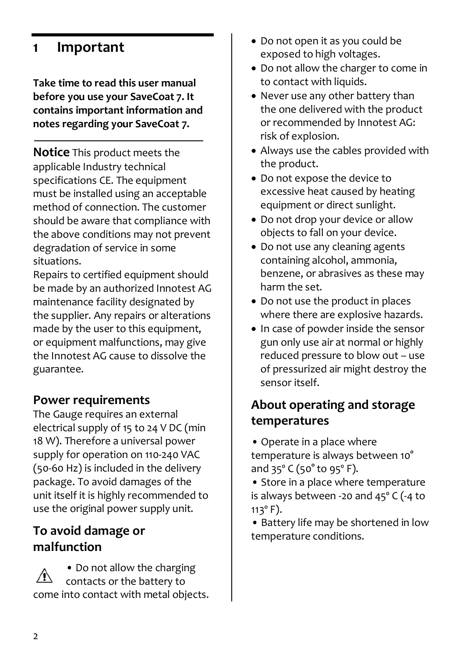## <span id="page-3-0"></span>**1 Important**

**Take time to read this user manual before you use your SaveCoat 7. It contains important information and notes regarding your SaveCoat 7.**

<span id="page-3-1"></span>**Notice** This product meets the applicable Industry technical specifications CE. The equipment must be installed using an acceptable method of connection. The customer should be aware that compliance with the above conditions may not prevent degradation of service in some situations.

Repairs to certified equipment should be made by an authorized Innotest AG maintenance facility designated by the supplier. Any repairs or alterations made by the user to this equipment, or equipment malfunctions, may give the Innotest AG cause to dissolve the guarantee.

### <span id="page-3-2"></span>**Power requirements**

The Gauge requires an external electrical supply of 15 to 24 V DC (min 18 W). Therefore a universal power supply for operation on 110-240 VAC (50-60 Hz) is included in the delivery package. To avoid damages of the unit itself it is highly recommended to use the original power supply unit.

### <span id="page-3-3"></span>**To avoid damage or malfunction**

• Do not allow the charging contacts or the battery to come into contact with metal objects.

- Do not open it as you could be exposed to high voltages.
- Do not allow the charger to come in to contact with liquids.
- Never use any other battery than the one delivered with the product or recommended by Innotest AG: risk of explosion.
- Always use the cables provided with the product.
- Do not expose the device to excessive heat caused by heating equipment or direct sunlight.
- Do not drop your device or allow objects to fall on your device.
- Do not use any cleaning agents containing alcohol, ammonia, benzene, or abrasives as these may harm the set.
- Do not use the product in places where there are explosive hazards.
- In case of powder inside the sensor gun only use air at normal or highly reduced pressure to blow out – use of pressurized air might destroy the sensor itself.

## <span id="page-3-4"></span>**About operating and storage temperatures**

- Operate in a place where temperature is always between 10° and 35º C (50° to 95º F).
- Store in a place where temperature is always between -20 and 45º C (-4 to  $113^{\circ}$  F).

• Battery life may be shortened in low temperature conditions.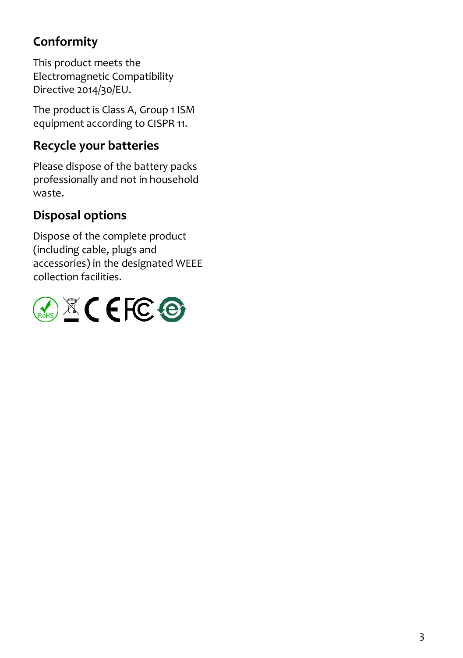# **Conformity**

<span id="page-4-0"></span>This product meets the Electromagnetic Compatibility Directive 2014/30/EU.

The product is Class A, Group 1 ISM equipment according to CISPR 11.

## **Recycle your batteries**

Please dispose of the battery packs professionally and not in household waste.

# <span id="page-4-1"></span>**Disposal options**

Dispose of the complete product (including cable, plugs and accessories) in the designated WEEE collection facilities.

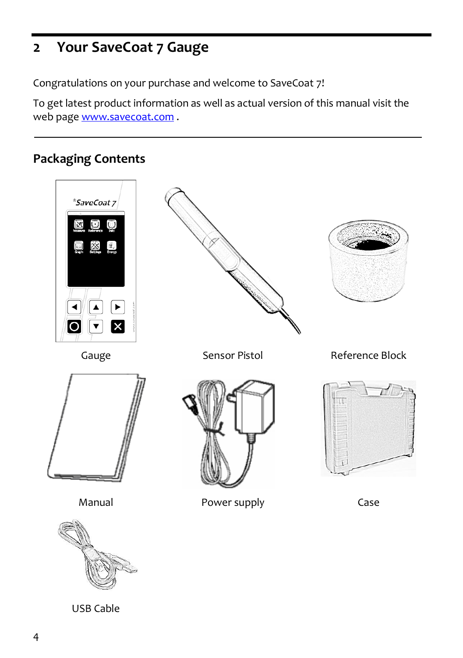# <span id="page-5-0"></span>**2 Your SaveCoat 7 Gauge**

Congratulations on your purchase and welcome to SaveCoat 7!

To get latest product information as well as actual version of this manual visit the web pag[e www.savecoat.com](http://www.savecoat.com/) .

## <span id="page-5-1"></span>**Packaging Contents**



USB Cable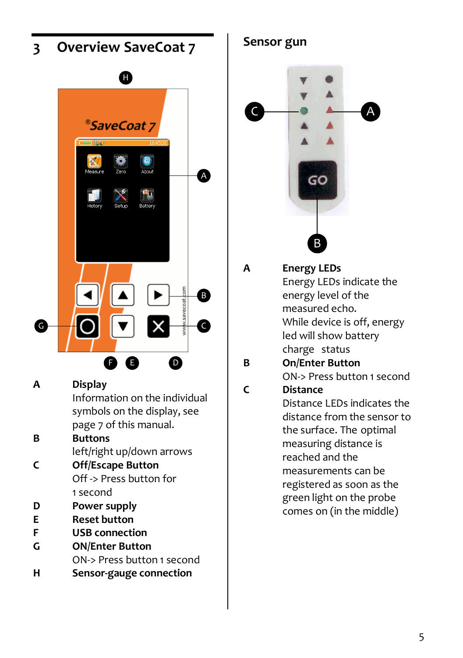<span id="page-6-0"></span>

- **D Power supply**
- **E Reset button**
- **F USB connection**
- **G ON/Enter Button** ON-> Press button 1 second
- **H Sensor-gauge connection**

<span id="page-6-1"></span>**Sensor gun**



- **A Energy LEDs** Energy LEDs indicate the energy level of the measured echo. While device is off, energy led will show battery charge status
- **B On/Enter Button** ON-> Press button 1 second

## **C Distance**

<span id="page-6-2"></span>Distance LEDs indicates the distance from the sensor to the surface. The optimal measuring distance is reached and the measurements can be registered as soon as the green light on the probe comes on (in the middle)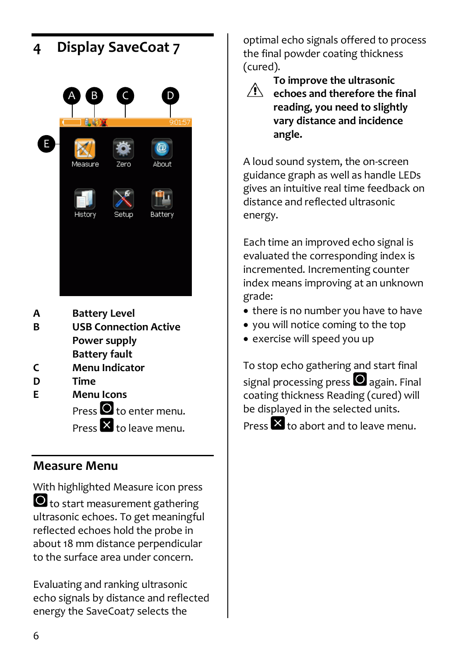

- **Power supply Battery fault**
- **C Menu Indicator**
- **D Time**
- **E Menu Icons**  $Pres \bullet t$  o enter menu. Press  $\times$  to leave menu.

## <span id="page-7-0"></span>**Measure Menu**

With highlighted Measure icon press  $\bullet$  to start measurement gathering ultrasonic echoes. To get meaningful reflected echoes hold the probe in about 18 mm distance perpendicular to the surface area under concern.

Evaluating and ranking ultrasonic echo signals by distance and reflected energy the SaveCoat7 selects the

optimal echo signals offered to process the final powder coating thickness (cured).



**To improve the ultrasonic echoes and therefore the final reading, you need to slightly vary distance and incidence angle.** 

A loud sound system, the on-screen guidance graph as well as handle LEDs gives an intuitive real time feedback on distance and reflected ultrasonic energy.

Each time an improved echo signal is evaluated the corresponding index is incremented. Incrementing counter index means improving at an unknown grade:

- there is no number you have to have
- you will notice coming to the top
- exercise will speed you up

To stop echo gathering and start final signal processing press  $\bullet$  again. Final coating thickness Reading (cured) will be displayed in the selected units.

Press  $\mathbf x$  to abort and to leave menu.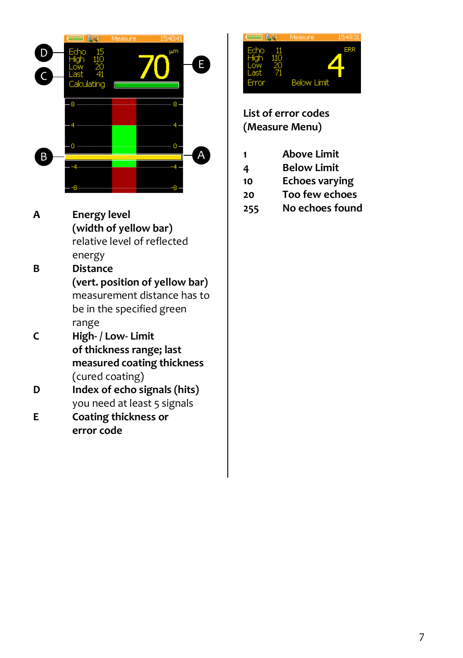

**A Energy level (width of yellow bar)** relative level of reflected energy **B Distance**

Fractional Control of Holomotom Control of Holomotown and Check variable control of Holomotown and Check variable control control of reflected energy Distance (vert, position of yellow bar) measurement distance has to be i **(vert. position of yellow bar)** measurement distance has to be in the specified green range

- **C High- / Low- Limit of thickness range; last measured coating thickness** (cured coating)
- **D Index of echo signals (hits)** you need at least 5 signals
- **E Coating thickness or error code**



**List of error codes (Measure Menu)**

- **1 Above Limit**
- **4 Below Limit**
- **10 Echoes varying**
- **20 Too few echoes**
- <span id="page-8-0"></span>**255 No echoes found**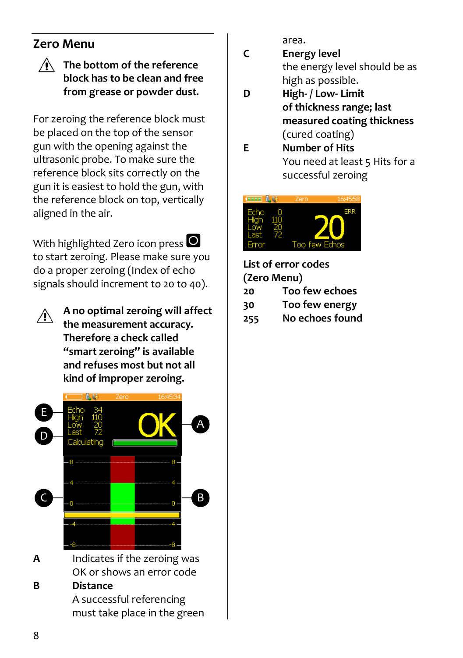### <span id="page-9-0"></span>**Zero Menu**

#### **The bottom of the reference block has to be clean and free from grease or powder dust.**

For zeroing the reference block must be placed on the top of the sensor gun with the opening against the ultrasonic probe. To make sure the reference block sits correctly on the gun it is easiest to hold the gun, with the reference block on top, vertically aligned in the air.

With highlighted Zero icon press  $\bigcirc$ to start zeroing. Please make sure you do a proper zeroing (Index of echo signals should increment to 20 to 40).

ЛN

**A no optimal zeroing will affect the measurement accuracy. Therefore a check called "smart zeroing" is available and refuses most but not all kind of improper zeroing.**



OK or shows an error code

#### **B Distance**

A successful referencing must take place in the green area.

- **C Energy level** the energy level should be as high as possible.
- **D High- / Low- Limit of thickness range; last measured coating thickness** (cured coating)
- **E Number of Hits** You need at least 5 Hits for a successful zeroing



**List of error codes (Zero Menu)**

- **20 Too few echoes**
- **30 Too few energy**
- <span id="page-9-1"></span>**255 No echoes found**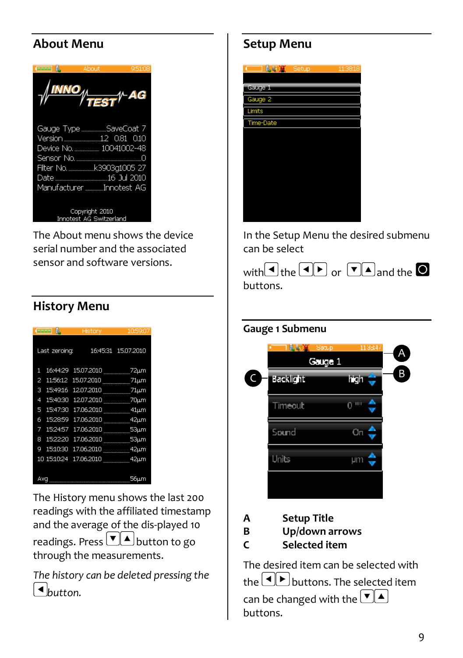### **About Menu**

| terre f                                                                                                         | Ahnut<br>TES | 951:08        |  |
|-----------------------------------------------------------------------------------------------------------------|--------------|---------------|--|
| Gauge TypeSaveCoat 7<br>Version 12 0.81 0.10<br>Device No. 10041002-48<br>Date<br>Manufacturer ____ Innotest AG |              | $16$ Jul 2010 |  |
| Copyright 2010<br>Innotest AG Switzerland                                                                       |              |               |  |

The About menu shows the device serial number and the associated sensor and software versions.

### <span id="page-10-0"></span>**History Menu**

| <b>Commo</b> |               | History    | 10:59:07            |
|--------------|---------------|------------|---------------------|
|              | Last zeroing: |            | 16:45:31 15.07.2010 |
| 1            | 16:44:29      | 15.07.2010 | 72µm                |
| 2            | 11:56:12      | 15,07,2010 | 71μm                |
| з            | 15:49:16      | 12.07.2010 | $71 \mu m$          |
| 4            | 15:40:30      | 12.07.2010 | 70µm                |
| 5            | 15:47:30      | 17.06.2010 | 41μm                |
| 6            | 15:28:59      | 17.06.2010 | 42µm                |
| 7            | 15:24:57      | 17.06.2010 | $53 \mu m$          |
| я            | 15:22:20      | 17.06.2010 | $53 \mu m$          |
| g            | 15:10:30      | 17.06.2010 | 42µm                |
|              | 10 15:10:24   | 17.06.2010 | 42µm                |
|              |               |            |                     |
| Avq          |               |            | 56µm                |

The History menu shows the last 200 readings with the affiliated timestamp and the average of the dis-played 10 readings. Press  $\boxed{\bullet}$  **A** button to go through the measurements.

*The history can be deleted pressing the button.*

### <span id="page-10-1"></span>**Setup Menu**



In the Setup Menu the desired submenu can be select



#### **Gauge 1 Submenu**



**A Setup Title**

**B Up/down arrows**

**C Selected item**

The desired item can be selected with the  $\left[ \begin{array}{c} \leftarrow \end{array} \right]$  buttons. The selected item can be changed with the  $\boxed{\bullet}$   $\boxed{\bullet}$ buttons.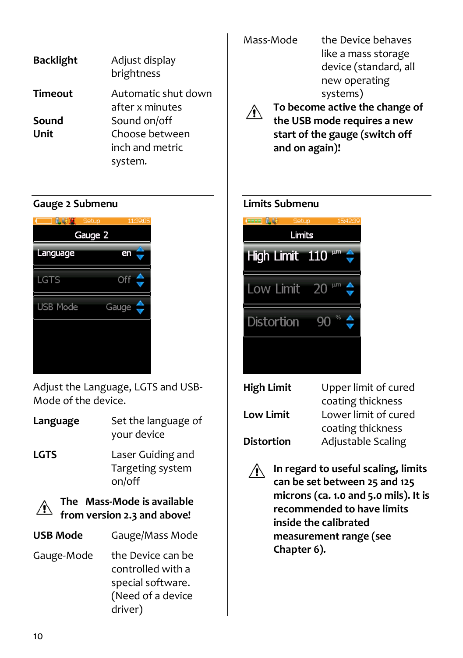| <b>Backlight</b> | Adjust display<br>brightness           |
|------------------|----------------------------------------|
| Timeout          | Automatic shut down<br>after x minutes |
| Sound            | Sound on/off                           |
| Unit             | Choose between                         |
|                  | inch and metric                        |
|                  | system.                                |

#### **Gauge 2 Submenu**



Adjust the Language, LGTS and USB-Mode of the device.

- **Language** Set the language of your device
- **LGTS** Laser Guiding and Targeting system on/off



**The Mass-Mode is available from version 2.3 and above!**

| <b>USB Mode</b> | Gauge/Mass Mode                                                                             |
|-----------------|---------------------------------------------------------------------------------------------|
| Gauge-Mode      | the Device can be<br>controlled with a<br>special software.<br>(Need of a device<br>driver) |

| Mass-Mode                      | the Device behaves    |  |
|--------------------------------|-----------------------|--|
|                                | like a mass storage   |  |
|                                | device (standard, all |  |
|                                | new operating         |  |
|                                | systems)              |  |
| To become active the change of |                       |  |
| the USB mode requires a new    |                       |  |
| start of the gauge (switch off |                       |  |
| and on again)!                 |                       |  |

#### **Limits Submenu**



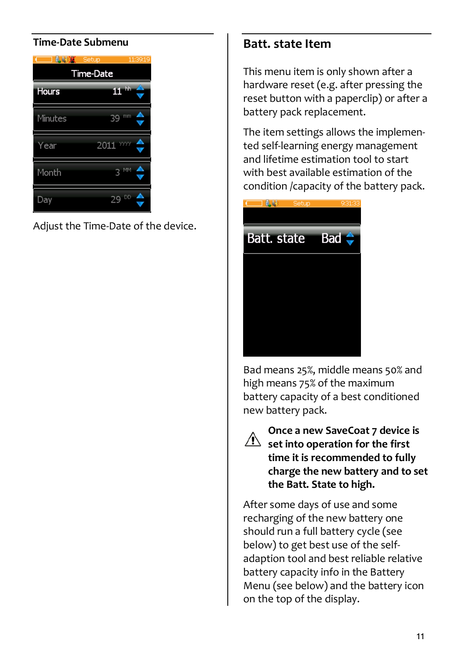#### **Time-Date Submenu**



Adjust the Time-Date of the device.

### **Batt. state Item**

This menu item is only shown after a hardware reset (e.g. after pressing the reset button with a paperclip) or after a battery pack replacement.

The item settings allows the implemented self-learning energy management and lifetime estimation tool to start with best available estimation of the condition /capacity of the battery pack.



Bad means 25%, middle means 50% and high means 75% of the maximum battery capacity of a best conditioned new battery pack.

**Once a new SaveCoat 7 device is**   $\sqrt{2}$  set into operation for the first **time it is recommended to fully charge the new battery and to set the Batt. State to high.** 

After some days of use and some recharging of the new battery one should run a full battery cycle (see below) to get best use of the selfadaption tool and best reliable relative battery capacity info in the Battery Menu (see below) and the battery icon on the top of the display.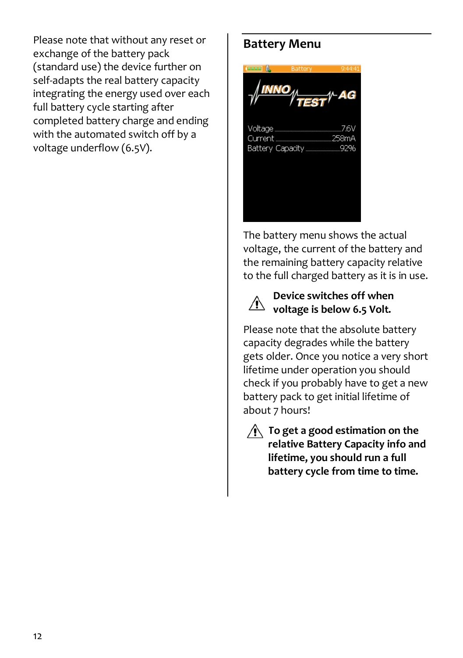<span id="page-13-0"></span>Please note that without any reset or exchange of the battery pack (standard use) the device further on self-adapts the real battery capacity integrating the energy used over each full battery cycle starting after completed battery charge and ending with the automated switch off by a voltage underflow (6.5V).

### **Battery Menu**

Current 258mA Battery Capacity...

The battery menu shows the actual voltage, the current of the battery and the remaining battery capacity relative to the full charged battery as it is in use.



#### **Device switches off when**   $\sqrt{!}$  voltage is below 6.5 Volt.

Please note that the absolute battery capacity degrades while the battery gets older. Once you notice a very short lifetime under operation you should check if you probably have to get a new battery pack to get initial lifetime of about 7 hours!



#### **To get a good estimation on the relative Battery Capacity info and lifetime, you should run a full battery cycle from time to time.**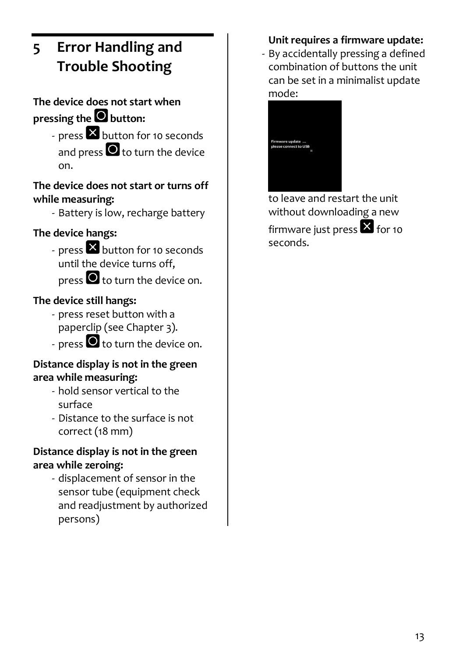# <span id="page-14-0"></span>**5 Error Handling and Trouble Shooting**

## **The device does not start when**  pressing the **O** button:

- press **X** button for 10 seconds and press  $\bullet$  to turn the device on.

#### **The device does not start or turns off while measuring:**

- Battery is low, recharge battery

### **The device hangs:**

- press **X** button for 10 seconds until the device turns off, press  $\bigcirc$  to turn the device on.

### **The device still hangs:**

- press reset button with a paperclip (see Chapte[r 3\)](#page-6-0).
- press  $\bullet$  to turn the device on.

#### **Distance display is not in the green area while measuring:**

- hold sensor vertical to the surface
- Distance to the surface is not correct (18 mm)

#### **Distance display is not in the green area while zeroing:**

- displacement of sensor in the sensor tube (equipment check and readjustment by authorized persons)

### **Unit requires a firmware update:**

- By accidentally pressing a defined combination of buttons the unit can be set in a minimalist update mode:



<span id="page-14-1"></span>to leave and restart the unit without downloading a new firmware just press  $\mathbf{\Sigma}$  for 10 seconds.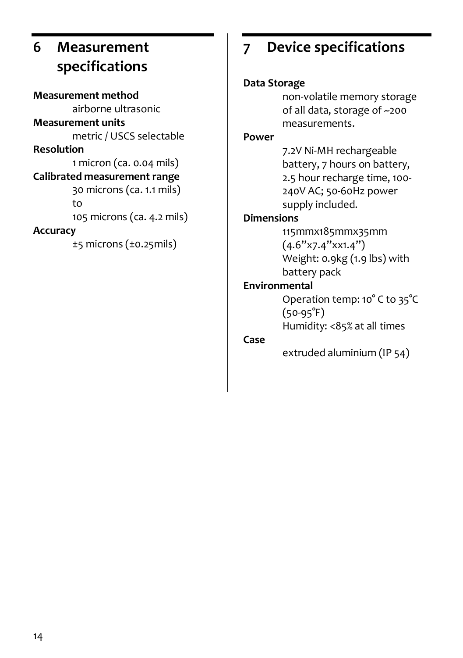# **6 Measurement specifications**

<span id="page-15-0"></span>**Measurement method** airborne ultrasonic **Measurement units** metric / USCS selectable **Resolution** 1 micron (ca. 0.04 mils) **Calibrated measurement range** 30 microns (ca. 1.1 mils) to 105 microns (ca. 4.2 mils) **Accuracy** ±5 microns (±0.25mils)

# **7 Device specifications**

#### **Data Storage**

non-volatile memory storage of all data, storage of ~200 measurements.

#### **Power**

7.2V Ni-MH rechargeable battery, 7 hours on battery, 2.5 hour recharge time, 100- 240V AC; 50-60Hz power supply included.

#### **Dimensions**

115mmx185mmx35mm  $(4.6"x7.4"xx1.4")$ Weight: 0.9kg (1.9 lbs) with battery pack

#### **Environmental**

Operation temp: 10° C to 35°C  $(50-95°F)$ Humidity: <85% at all times

#### **Case**

extruded aluminium (IP 54)